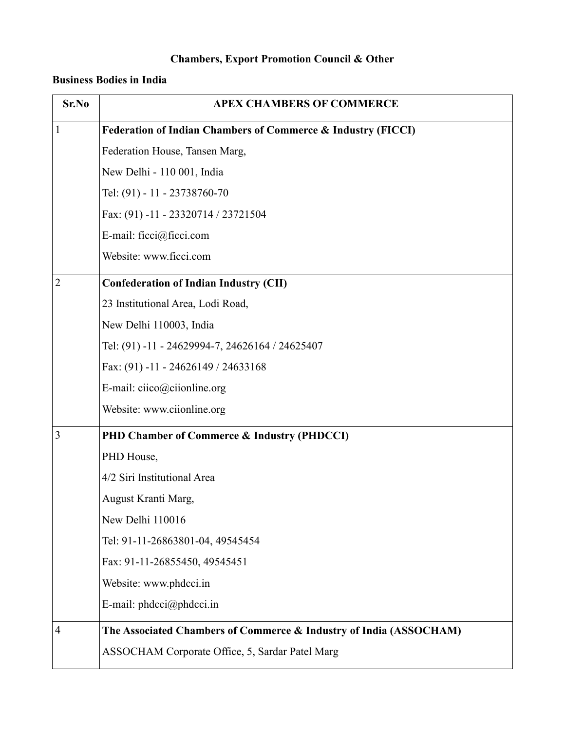# **Chambers, Export Promotion Council & Other**

### **Business Bodies in India**

| Sr.No          | <b>APEX CHAMBERS OF COMMERCE</b>                                   |
|----------------|--------------------------------------------------------------------|
| $\mathbf{1}$   | Federation of Indian Chambers of Commerce & Industry (FICCI)       |
|                | Federation House, Tansen Marg,                                     |
|                | New Delhi - 110 001, India                                         |
|                | Tel: (91) - 11 - 23738760-70                                       |
|                | Fax: (91) -11 - 23320714 / 23721504                                |
|                | E-mail: ficci@ficci.com                                            |
|                | Website: www.ficci.com                                             |
| $\overline{2}$ | <b>Confederation of Indian Industry (CII)</b>                      |
|                | 23 Institutional Area, Lodi Road,                                  |
|                | New Delhi 110003, India                                            |
|                | Tel: (91) -11 - 24629994-7, 24626164 / 24625407                    |
|                | Fax: $(91) - 11 - 24626149 / 24633168$                             |
|                | E-mail: ciico@ciionline.org                                        |
|                | Website: www.ciionline.org                                         |
| $\overline{3}$ | PHD Chamber of Commerce & Industry (PHDCCI)                        |
|                | PHD House,                                                         |
|                | 4/2 Siri Institutional Area                                        |
|                | August Kranti Marg,                                                |
|                | New Delhi 110016                                                   |
|                | Tel: 91-11-26863801-04, 49545454                                   |
|                | Fax: 91-11-26855450, 49545451                                      |
|                | Website: www.phdcci.in                                             |
|                | E-mail: $phdcci$ ( $@phdcci$ .in                                   |
| $\overline{4}$ | The Associated Chambers of Commerce & Industry of India (ASSOCHAM) |
|                | ASSOCHAM Corporate Office, 5, Sardar Patel Marg                    |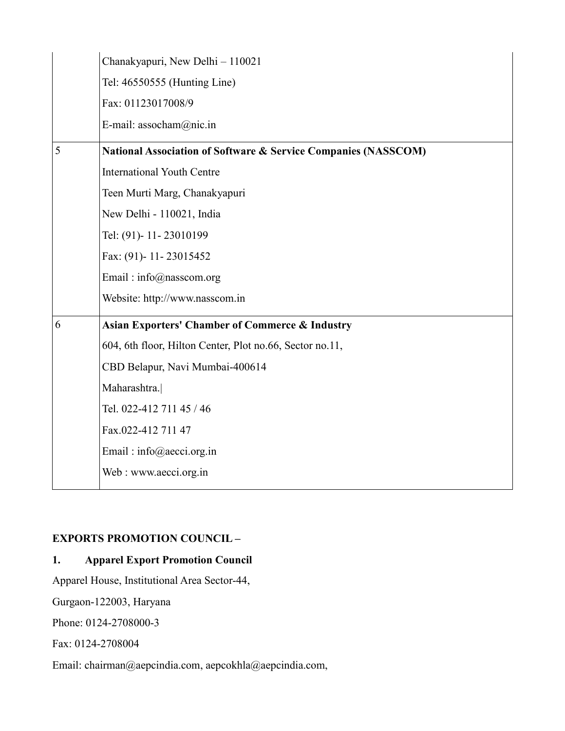|   | Chanakyapuri, New Delhi - 110021                               |
|---|----------------------------------------------------------------|
|   | Tel: 46550555 (Hunting Line)                                   |
|   | Fax: 01123017008/9                                             |
|   | E-mail: assocham@nic.in                                        |
| 5 | National Association of Software & Service Companies (NASSCOM) |
|   | <b>International Youth Centre</b>                              |
|   | Teen Murti Marg, Chanakyapuri                                  |
|   | New Delhi - 110021, India                                      |
|   | Tel: (91)-11-23010199                                          |
|   | Fax: (91)-11-23015452                                          |
|   | Email: info@nasscom.org                                        |
|   | Website: http://www.nasscom.in                                 |
| 6 | <b>Asian Exporters' Chamber of Commerce &amp; Industry</b>     |
|   | 604, 6th floor, Hilton Center, Plot no.66, Sector no.11,       |
|   | CBD Belapur, Navi Mumbai-400614                                |
|   | Maharashtra.                                                   |
|   | Tel. 022-412 711 45 / 46                                       |
|   | Fax.022-412 711 47                                             |
|   | Email: info@aecci.org.in                                       |
|   | Web: www.aecci.org.in                                          |
|   |                                                                |

### **EXPORTS PROMOTION COUNCIL –**

### **1. Apparel Export Promotion Council**

Apparel House, Institutional Area Sector-44,

Gurgaon-122003, Haryana

Phone: 0124-2708000-3

Fax: 0124-2708004

Email: chairman@aepcindia.com, aepcokhla@aepcindia.com,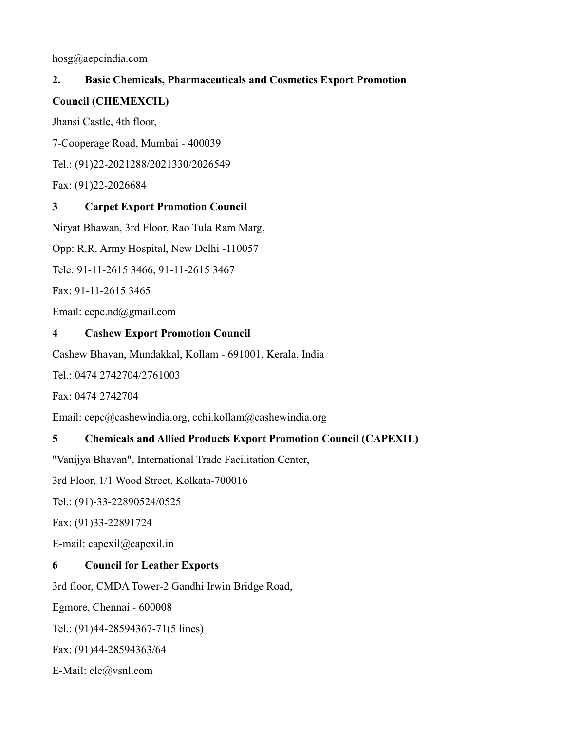hosg@aepcindia.com

### **2. Basic Chemicals, Pharmaceuticals and Cosmetics Export Promotion**

#### **Council (CHEMEXCIL)**

Jhansi Castle, 4th floor,

7-Cooperage Road, Mumbai - 400039

Tel.: (91)22-2021288/2021330/2026549

Fax: (91)22-2026684

### **3 Carpet Export Promotion Council**

Niryat Bhawan, 3rd Floor, Rao Tula Ram Marg,

Opp: R.R. Army Hospital, New Delhi -110057

Tele: 91-11-2615 3466, 91-11-2615 3467

Fax: 91-11-2615 3465

Email: cepc.nd@gmail.com

### **4 Cashew Export Promotion Council**

Cashew Bhavan, Mundakkal, Kollam - 691001, Kerala, India

Tel.: 0474 2742704/2761003

Fax: 0474 2742704

Email: cepc@cashewìndia.org, cchi.kollam@cashewìndìa.org

### **5 Chemicals and Allied Products Export Promotion Council (CAPEXIL)**

"Vanijya Bhavan", International Trade Facilitation Center,

3rd Floor, 1/1 Wood Street, Kolkata-700016

Tel.: (91)-33-22890524/0525

Fax: (91)33-22891724

E-mail: capexil@capexil.in

### **6 Council for Leather Exports**

3rd floor, CMDA Tower-2 Gandhi Irwin Bridge Road,

Egmore, Chennai - 600008

Tel.: (91)44-28594367-71(5 lines)

Fax: (91)44-28594363/64

E-Mail: cle@vsnl.com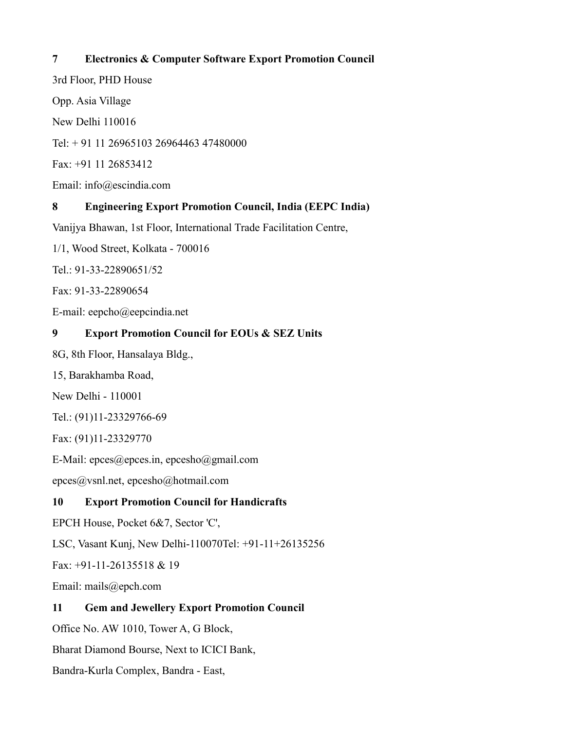### **7 Electronics & Computer Software Export Promotion Council**

3rd Floor, PHD House

Opp. Asia Village

New Delhi 110016

Tel: + 91 11 26965103 26964463 47480000

Fax: +91 11 26853412

Email: info@escindia.com

## **8 Engineering Export Promotion Council, India (EEPC India)**

Vanijya Bhawan, 1st Floor, International Trade Facilitation Centre,

1/1, Wood Street, Kolkata - 700016

Tel.: 91-33-22890651/52

Fax: 91-33-22890654

E-mail: eepcho@eepcindia.net

### **9 Export Promotion Council for EOUs & SEZ Units**

8G, 8th Floor, Hansalaya Bldg.,

15, Barakhamba Road,

New Delhi - 110001

Tel.: (91)11-23329766-69

Fax: (91)11-23329770

E-Mail: epces@epces.in, epcesho@gmail.com

epces@vsnl.net, epcesho@hotmail.com

### **10 Export Promotion Council for Handicrafts**

EPCH House, Pocket 6&7, Sector 'C',

LSC, Vasant Kunj, New Delhi-110070Tel: +91-11+26135256

Fax: +91-11-26135518 & 19

Email: mails@epch.com

### **11 Gem and Jewellery Export Promotion Council**

Office No. AW 1010, Tower A, G Block,

Bharat Diamond Bourse, Next to ICICI Bank,

Bandra-Kurla Complex, Bandra - East,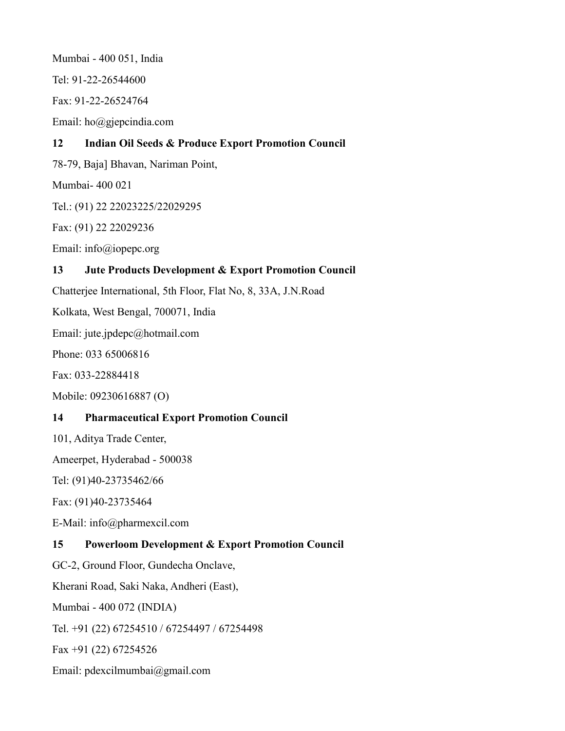Mumbai - 400 051, India Tel: 91-22-26544600 Fax: 91-22-26524764 Email: ho@gjepcindia.com **12 Indian Oil Seeds & Produce Export Promotion Council** 78-79, Baja] Bhavan, Nariman Point, Mumbai- 400 021 Tel.: (91) 22 22023225/22029295 Fax: (91) 22 22029236 Email: info@iopepc.org **13 Jute Products Development & Export Promotion Council** Chatterjee International, 5th Floor, Flat No, 8, 33A, J.N.Road Kolkata, West Bengal, 700071, India Email: jute.jpdepc@hotmail.com Phone: 033 65006816 Fax: 033-22884418 Mobile: 09230616887 (O) **14 Pharmaceutical Export Promotion Council** 101, Aditya Trade Center, Ameerpet, Hyderabad - 500038 Tel: (91)40-23735462/66 Fax: (91)40-23735464 E-Mail: info@pharmexcil.com **15 Powerloom Development & Export Promotion Council** GC-2, Ground Floor, Gundecha Onclave, Kherani Road, Saki Naka, Andheri (East), Mumbai - 400 072 (INDIA) Tel. +91 (22) 67254510 / 67254497 / 67254498 Fax +91 (22) 67254526 Email: [pdexcilmumbai@gmail.com](mailto:pdexcilmumbai@gmail.com)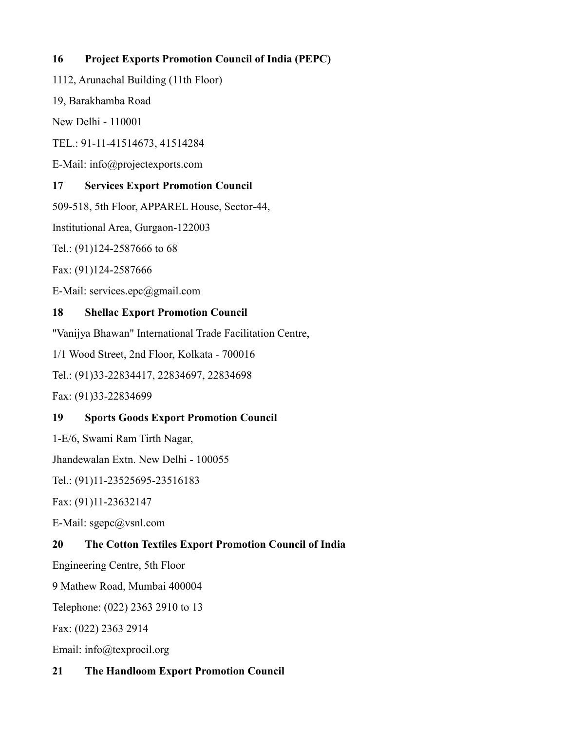### **16 Project Exports Promotion Council of India (PEPC)**

1112, Arunachal Building (11th Floor)

19, Barakhamba Road

New Delhi - 110001

TEL.: 91-11-41514673, 41514284

E-Mail: info@projectexports.com

### **17 Services Export Promotion Council**

509-518, 5th Floor, APPAREL House, Sector-44,

Institutional Area, Gurgaon-122003

Tel.: (91)124-2587666 to 68

Fax: (91)124-2587666

E-Mail: services.epc@gmail.com

### **18 Shellac Export Promotion Council**

"Vanijya Bhawan" International Trade Facilitation Centre,

1/1 Wood Street, 2nd Floor, Kolkata - 700016

Tel.: (91)33-22834417, 22834697, 22834698

Fax: (91)33-22834699

### **19 Sports Goods Export Promotion Council**

1-E/6, Swami Ram Tirth Nagar,

Jhandewalan Extn. New Delhi - 100055

Tel.: (91)11-23525695-23516183

Fax: (91)11-23632147

E-Mail: sgepc@vsnl.com

### **20 The Cotton Textiles Export Promotion Council of India**

Engineering Centre, 5th Floor

9 Mathew Road, Mumbai 400004

Telephone: (022) 2363 2910 to 13

Fax: (022) 2363 2914

Email: info@texprocil.org

### **21 The Handloom Export Promotion Council**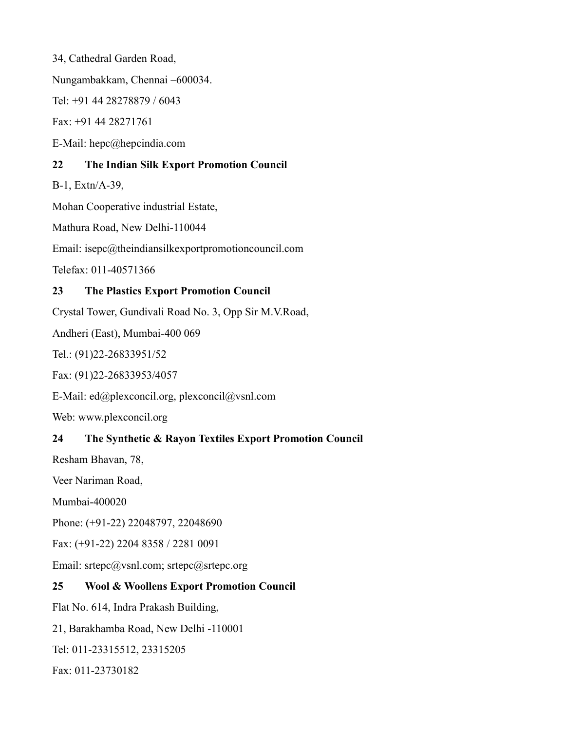34, Cathedral Garden Road,

Nungambakkam, Chennai –600034.

Tel: +91 44 28278879 / 6043

Fax: +91 44 28271761

E-Mail: [hepc@hepcindia.com](mailto:hepc@hepcindia.com)

#### **22 The Indian Silk Export Promotion Council**

B-1, Extn/A-39,

Mohan Cooperative industrial Estate,

Mathura Road, New Delhi-110044

Email: isepc@theindiansilkexportpromotioncouncil.com

Telefax: 011-40571366

### **23 The Plastics Export Promotion Council**

Crystal Tower, Gundivali Road No. 3, Opp Sir M.V.Road,

Andheri (East), Mumbai-400 069

Tel.: (91)22-26833951/52

Fax: (91)22-26833953/4057

E-Mail: ed@plexconcil.org, plexconcil@vsnl.com

Web: www.plexconcil.org

### **24 The Synthetic & Rayon Textiles Export Promotion Council**

Resham Bhavan, 78,

Veer Nariman Road,

Mumbai-400020

Phone: (+91-22) 22048797, 22048690

Fax: (+91-22) 2204 8358 / 2281 0091

Email: srtepc@vsnl.com; srtepc@srtepc.org

### **25 Wool & Woollens Export Promotion Council**

Flat No. 614, Indra Prakash Building,

21, Barakhamba Road, New Delhi -110001

Tel: 011-23315512, 23315205

Fax: 011-23730182